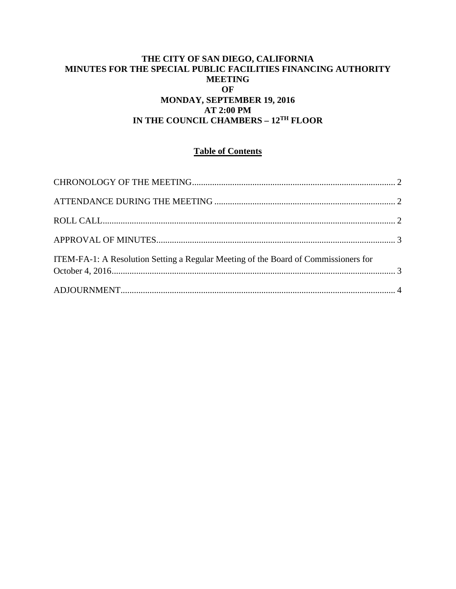## **THE CITY OF SAN DIEGO, CALIFORNIA MINUTES FOR THE SPECIAL PUBLIC FACILITIES FINANCING AUTHORITY MEETING OF MONDAY, SEPTEMBER 19, 2016 AT 2:00 PM IN THE COUNCIL CHAMBERS – 12TH FLOOR**

# **Table of Contents**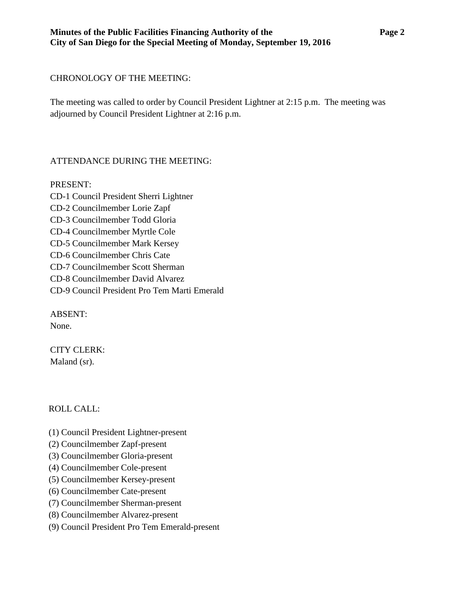## <span id="page-1-0"></span>CHRONOLOGY OF THE MEETING:

The meeting was called to order by Council President Lightner at 2:15 p.m. The meeting was adjourned by Council President Lightner at 2:16 p.m.

# <span id="page-1-1"></span>ATTENDANCE DURING THE MEETING:

PRESENT: CD-1 Council President Sherri Lightner CD-2 Councilmember Lorie Zapf CD-3 Councilmember Todd Gloria CD-4 Councilmember Myrtle Cole CD-5 Councilmember Mark Kersey CD-6 Councilmember Chris Cate CD-7 Councilmember Scott Sherman CD-8 Councilmember David Alvarez CD-9 Council President Pro Tem Marti Emerald

ABSENT: None.

CITY CLERK: Maland (sr).

# <span id="page-1-2"></span>ROLL CALL:

- (1) Council President Lightner-present
- (2) Councilmember Zapf-present
- (3) Councilmember Gloria-present
- (4) Councilmember Cole-present
- (5) Councilmember Kersey-present
- (6) Councilmember Cate-present
- (7) Councilmember Sherman-present
- (8) Councilmember Alvarez-present
- (9) Council President Pro Tem Emerald-present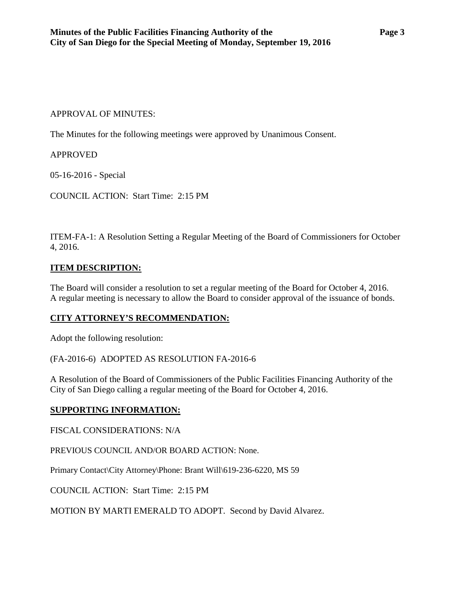### <span id="page-2-0"></span>APPROVAL OF MINUTES:

The Minutes for the following meetings were approved by Unanimous Consent.

### APPROVED

[05-16-2016 -](http://www.sandiego.gov/sites/default/files/03-22-16-minutes.pdf) Special

COUNCIL ACTION: Start Time: 2:15 PM

<span id="page-2-1"></span>ITEM-FA-1: A Resolution Setting a Regular Meeting of the Board of Commissioners for October 4, 2016.

#### **ITEM DESCRIPTION:**

The Board will consider a resolution to set a regular meeting of the Board for October 4, 2016. A regular meeting is necessary to allow the Board to consider approval of the issuance of bonds.

### **CITY ATTORNEY'S RECOMMENDATION:**

Adopt the following resolution:

(FA-2016-6) ADOPTED AS RESOLUTION FA-2016-6

A Resolution of the Board of Commissioners of the Public Facilities Financing Authority of the City of San Diego calling a regular meeting of the Board for October 4, 2016.

#### **SUPPORTING INFORMATION:**

FISCAL CONSIDERATIONS: N/A

PREVIOUS COUNCIL AND/OR BOARD ACTION: None.

Primary Contact\City Attorney\Phone: Brant Will\619-236-6220, MS 59

COUNCIL ACTION: Start Time: 2:15 PM

MOTION BY MARTI EMERALD TO ADOPT. Second by David Alvarez.